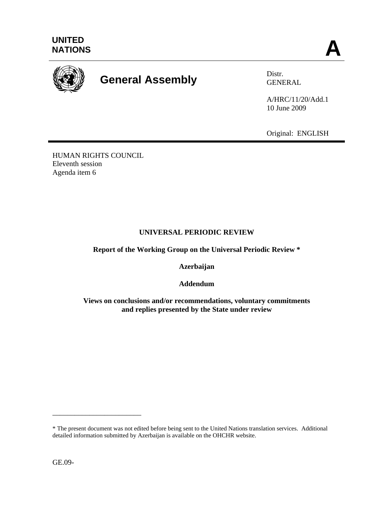



## **General Assembly** Distr.

GENERAL

A/HRC/11/20/Add.1 10 June 2009

Original: ENGLISH

HUMAN RIGHTS COUNCIL Eleventh session Agenda item 6

## **UNIVERSAL PERIODIC REVIEW**

**Report of the Working Group on the Universal Periodic Review \*** 

**Azerbaijan** 

**Addendum** 

**Views on conclusions and/or recommendations, voluntary commitments and replies presented by the State under review** 

GE.09-

\_\_\_\_\_\_\_\_\_\_\_\_\_\_\_\_\_\_\_\_\_\_\_\_

<sup>\*</sup> The present document was not edited before being sent to the United Nations translation services. Additional detailed information submitted by Azerbaijan is available on the OHCHR website.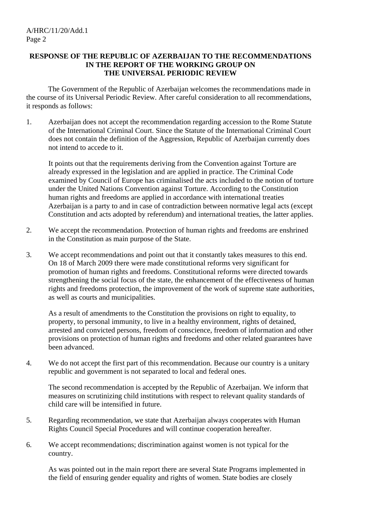## **RESPONSE OF THE REPUBLIC OF AZERBAIJAN TO THE RECOMMENDATIONS IN THE REPORT OF THE WORKING GROUP ON THE UNIVERSAL PERIODIC REVIEW**

 The Government of the Republic of Azerbaijan welcomes the recommendations made in the course of its Universal Periodic Review. After careful consideration to all recommendations, it responds as follows:

1. Azerbaijan does not accept the recommendation regarding accession to the Rome Statute of the International Criminal Court. Since the Statute of the International Criminal Court does not contain the definition of the Aggression, Republic of Azerbaijan currently does not intend to accede to it.

 It points out that the requirements deriving from the Convention against Torture are already expressed in the legislation and are applied in practice. The Criminal Code examined by Council of Europe has criminalised the acts included to the notion of torture under the United Nations Convention against Torture. According to the Constitution human rights and freedoms are applied in accordance with international treaties Azerbaijan is a party to and in case of contradiction between normative legal acts (except Constitution and acts adopted by referendum) and international treaties, the latter applies.

- 2. We accept the recommendation. Protection of human rights and freedoms are enshrined in the Constitution as main purpose of the State.
- 3. We accept recommendations and point out that it constantly takes measures to this end. On 18 of March 2009 there were made constitutional reforms very significant for promotion of human rights and freedoms. Constitutional reforms were directed towards strengthening the social focus of the state, the enhancement of the effectiveness of human rights and freedoms protection, the improvement of the work of supreme state authorities, as well as courts and municipalities.

 As a result of amendments to the Constitution the provisions on right to equality, to property, to personal immunity, to live in a healthy environment, rights of detained, arrested and convicted persons, freedom of conscience, freedom of information and other provisions on protection of human rights and freedoms and other related guarantees have been advanced.

4. We do not accept the first part of this recommendation. Because our country is a unitary republic and government is not separated to local and federal ones.

 The second recommendation is accepted by the Republic of Azerbaijan. We inform that measures on scrutinizing child institutions with respect to relevant quality standards of child care will be intensified in future.

- 5. Regarding recommendation, we state that Azerbaijan always cooperates with Human Rights Council Special Procedures and will continue cooperation hereafter.
- 6. We accept recommendations; discrimination against women is not typical for the country.

 As was pointed out in the main report there are several State Programs implemented in the field of ensuring gender equality and rights of women. State bodies are closely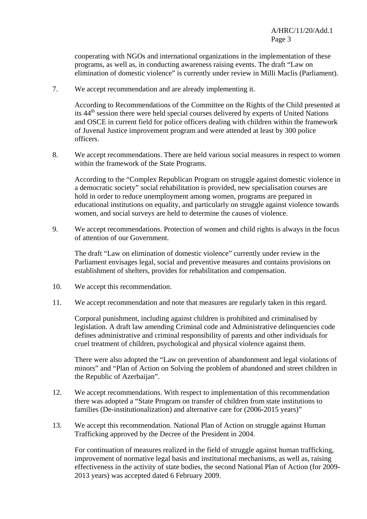cooperating with NGOs and international organizations in the implementation of these programs, as well as, in conducting awareness raising events. The draft "Law on elimination of domestic violence" is currently under review in Milli Maclis (Parliament).

7. We accept recommendation and are already implementing it.

 According to Recommendations of the Committee on the Rights of the Child presented at its 44th session there were held special courses delivered by experts of United Nations and OSCE in current field for police officers dealing with children within the framework of Juvenal Justice improvement program and were attended at least by 300 police officers.

8. We accept recommendations. There are held various social measures in respect to women within the framework of the State Programs.

 According to the "Complex Republican Program on struggle against domestic violence in a democratic society" social rehabilitation is provided, new specialisation courses are hold in order to reduce unemployment among women, programs are prepared in educational institutions on equality, and particularly on struggle against violence towards women, and social surveys are held to determine the causes of violence.

9. We accept recommendations. Protection of women and child rights is always in the focus of attention of our Government.

 The draft "Law on elimination of domestic violence" currently under review in the Parliament envisages legal, social and preventive measures and contains provisions on establishment of shelters, provides for rehabilitation and compensation.

- 10. We accept this recommendation.
- 11. We accept recommendation and note that measures are regularly taken in this regard.

 Corporal punishment, including against children is prohibited and criminalised by legislation. A draft law amending Criminal code and Administrative delinquencies code defines administrative and criminal responsibility of parents and other individuals for cruel treatment of children, psychological and physical violence against them.

 There were also adopted the "Law on prevention of abandonment and legal violations of minors" and "Plan of Action on Solving the problem of abandoned and street children in the Republic of Azerbaijan".

- 12. We accept recommendations. With respect to implementation of this recommendation there was adopted a "State Program on transfer of children from state institutions to families (De-institutionalization) and alternative care for (2006-2015 years)"
- 13. We accept this recommendation. National Plan of Action on struggle against Human Trafficking approved by the Decree of the President in 2004.

 For continuation of measures realized in the field of struggle against human trafficking, improvement of normative legal basis and institutional mechanisms, as well as, raising effectiveness in the activity of state bodies, the second National Plan of Action (for 2009- 2013 years) was accepted dated 6 February 2009.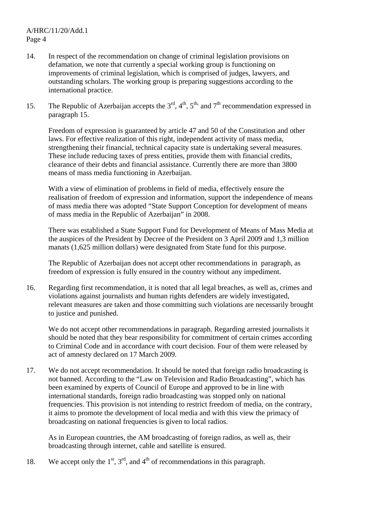A/HRC/11/20/Add.1 Page 4

- 14. In respect of the recommendation on change of criminal legislation provisions on defamation, we note that currently a special working group is functioning on improvements of criminal legislation, which is comprised of judges, lawyers, and outstanding scholars. The working group is preparing suggestions according to the international practice.
- 15. The Republic of Azerbaijan accepts the  $3<sup>rd</sup>$ ,  $4<sup>th</sup>$ ,  $5<sup>th</sup>$ , and  $7<sup>th</sup>$  recommendation expressed in paragraph 15.

 Freedom of expression is guaranteed by article 47 and 50 of the Constitution and other laws. For effective realization of this right, independent activity of mass media, strengthening their financial, technical capacity state is undertaking several measures. These include reducing taxes of press entities, provide them with financial credits, clearance of their debts and financial assistance. Currently there are more than 3800 means of mass media functioning in Azerbaijan.

 With a view of elimination of problems in field of media, effectively ensure the realisation of freedom of expression and information, support the independence of means of mass media there was adopted "State Support Conception for development of means of mass media in the Republic of Azerbaijan" in 2008.

 There was established a State Support Fund for Development of Means of Mass Media at the auspices of the President by Decree of the President on 3 April 2009 and 1,3 million manats (1,625 million dollars) were designated from State fund for this purpose.

 The Republic of Azerbaijan does not accept other recommendations in paragraph, as freedom of expression is fully ensured in the country without any impediment.

16. Regarding first recommendation, it is noted that all legal breaches, as well as, crimes and violations against journalists and human rights defenders are widely investigated, relevant measures are taken and those committing such violations are necessarily brought to justice and punished.

 We do not accept other recommendations in paragraph. Regarding arrested journalists it should be noted that they bear responsibility for commitment of certain crimes according to Criminal Code and in accordance with court decision. Four of them were released by act of amnesty declared on 17 March 2009.

17. We do not accept recommendation. It should be noted that foreign radio broadcasting is not banned. According to the "Law on Television and Radio Broadcasting", which has been examined by experts of Council of Europe and approved to be in line with international standards, foreign radio broadcasting was stopped only on national frequencies. This provision is not intending to restrict freedom of media, on the contrary, it aims to promote the development of local media and with this view the primacy of broadcasting on national frequencies is given to local radios.

 As in European countries, the AM broadcasting of foreign radios, as well as, their broadcasting through internet, cable and satellite is ensured.

18. We accept only the  $1<sup>st</sup>$ ,  $3<sup>rd</sup>$ , and  $4<sup>th</sup>$  of recommendations in this paragraph.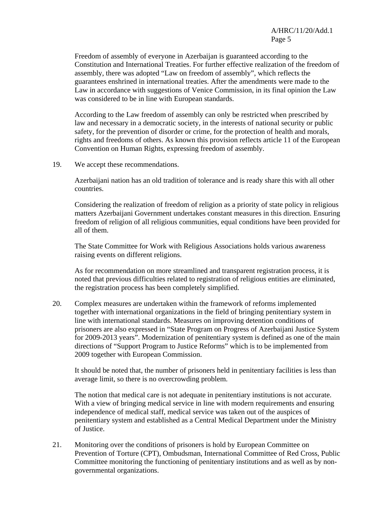Freedom of assembly of everyone in Azerbaijan is guaranteed according to the Constitution and International Treaties. For further effective realization of the freedom of assembly, there was adopted "Law on freedom of assembly", which reflects the guarantees enshrined in international treaties. After the amendments were made to the Law in accordance with suggestions of Venice Commission, in its final opinion the Law was considered to be in line with European standards.

 According to the Law freedom of assembly can only be restricted when prescribed by law and necessary in a democratic society, in the interests of national security or public safety, for the prevention of disorder or crime, for the protection of health and morals, rights and freedoms of others. As known this provision reflects article 11 of the European Convention on Human Rights, expressing freedom of assembly.

19. We accept these recommendations.

 Azerbaijani nation has an old tradition of tolerance and is ready share this with all other countries.

 Considering the realization of freedom of religion as a priority of state policy in religious matters Azerbaijani Government undertakes constant measures in this direction. Ensuring freedom of religion of all religious communities, equal conditions have been provided for all of them.

 The State Committee for Work with Religious Associations holds various awareness raising events on different religions.

 As for recommendation on more streamlined and transparent registration process, it is noted that previous difficulties related to registration of religious entities are eliminated, the registration process has been completely simplified.

20. Complex measures are undertaken within the framework of reforms implemented together with international organizations in the field of bringing penitentiary system in line with international standards. Measures on improving detention conditions of prisoners are also expressed in "State Program on Progress of Azerbaijani Justice System for 2009-2013 years". Modernization of penitentiary system is defined as one of the main directions of "Support Program to Justice Reforms" which is to be implemented from 2009 together with European Commission.

 It should be noted that, the number of prisoners held in penitentiary facilities is less than average limit, so there is no overcrowding problem.

 The notion that medical care is not adequate in penitentiary institutions is not accurate. With a view of bringing medical service in line with modern requirements and ensuring independence of medical staff, medical service was taken out of the auspices of penitentiary system and established as a Central Medical Department under the Ministry of Justice.

21. Monitoring over the conditions of prisoners is hold by European Committee on Prevention of Torture (CPT), Ombudsman, International Committee of Red Cross, Public Committee monitoring the functioning of penitentiary institutions and as well as by nongovernmental organizations.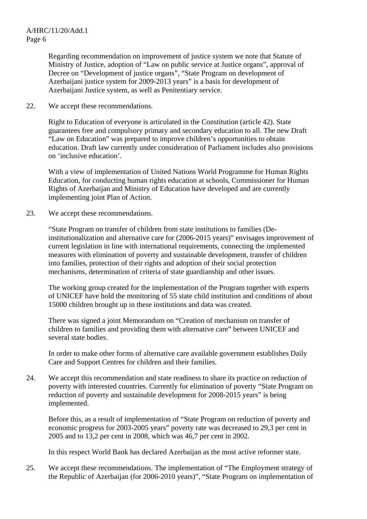Regarding recommendation on improvement of justice system we note that Statute of Ministry of Justice, adoption of "Law on public service at Justice organs", approval of Decree on "Development of justice organs", "State Program on development of Azerbaijani justice system for 2009-2013 years" is a basis for development of Azerbaijani Justice system, as well as Penitentiary service.

22. We accept these recommendations.

 Right to Education of everyone is articulated in the Constitution (article 42). State guarantees free and compulsory primary and secondary education to all. The new Draft "Law on Education" was prepared to improve children's opportunities to obtain education. Draft law currently under consideration of Parliament includes also provisions on 'inclusive education'.

 With a view of implementation of United Nations World Programme for Human Rights Education, for conducting human rights education at schools, Commissioner for Human Rights of Azerbaijan and Ministry of Education have developed and are currently implementing joint Plan of Action.

23. We accept these recommendations.

 "State Program on transfer of children from state institutions to families (Deinstitutionalization and alternative care for (2006-2015 years)" envisages improvement of current legislation in line with international requirements, connecting the implemented measures with elimination of poverty and sustainable development, transfer of children into families, protection of their rights and adoption of their social protection mechanisms, determination of criteria of state guardianship and other issues.

 The working group created for the implementation of the Program together with experts of UNICEF have hold the monitoring of 55 state child institution and conditions of about 15000 children brought up in these institutions and data was created.

 There was signed a joint Memorandum on "Creation of mechanism on transfer of children to families and providing them with alternative care" between UNICEF and several state bodies.

 In order to make other forms of alternative care available government establishes Daily Care and Support Centres for children and their families.

24. We accept this recommendation and state readiness to share its practice on reduction of poverty with interested countries. Currently for elimination of poverty "State Program on reduction of poverty and sustainable development for 2008-2015 years" is being implemented.

 Before this, as a result of implementation of "State Program on reduction of poverty and economic progress for 2003-2005 years" poverty rate was decreased to 29,3 per cent in 2005 and to 13,2 per cent in 2008, which was 46,7 per cent in 2002.

In this respect World Bank has declared Azerbaijan as the most active reformer state.

25. We accept these recommendations. The implementation of "The Employment strategy of the Republic of Azerbaijan (for 2006-2010 years)", "State Program on implementation of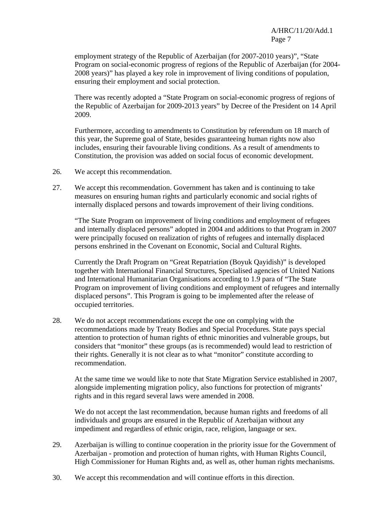employment strategy of the Republic of Azerbaijan (for 2007-2010 years)", "State Program on social-economic progress of regions of the Republic of Azerbaijan (for 2004- 2008 years)" has played a key role in improvement of living conditions of population, ensuring their employment and social protection.

 There was recently adopted a "State Program on social-economic progress of regions of the Republic of Azerbaijan for 2009-2013 years" by Decree of the President on 14 April 2009.

 Furthermore, according to amendments to Constitution by referendum on 18 march of this year, the Supreme goal of State, besides guaranteeing human rights now also includes, ensuring their favourable living conditions. As a result of amendments to Constitution, the provision was added on social focus of economic development.

- 26. We accept this recommendation.
- 27. We accept this recommendation. Government has taken and is continuing to take measures on ensuring human rights and particularly economic and social rights of internally displaced persons and towards improvement of their living conditions.

 "The State Program on improvement of living conditions and employment of refugees and internally displaced persons" adopted in 2004 and additions to that Program in 2007 were principally focused on realization of rights of refugees and internally displaced persons enshrined in the Covenant on Economic, Social and Cultural Rights.

 Currently the Draft Program on "Great Repatriation (Boyuk Qayidish)" is developed together with International Financial Structures, Specialised agencies of United Nations and International Humanitarian Organisations according to 1.9 para of "The State Program on improvement of living conditions and employment of refugees and internally displaced persons". This Program is going to be implemented after the release of occupied territories.

28. We do not accept recommendations except the one on complying with the recommendations made by Treaty Bodies and Special Procedures. State pays special attention to protection of human rights of ethnic minorities and vulnerable groups, but considers that "monitor" these groups (as is recommended) would lead to restriction of their rights. Generally it is not clear as to what "monitor" constitute according to recommendation.

 At the same time we would like to note that State Migration Service established in 2007, alongside implementing migration policy, also functions for protection of migrants' rights and in this regard several laws were amended in 2008.

 We do not accept the last recommendation, because human rights and freedoms of all individuals and groups are ensured in the Republic of Azerbaijan without any impediment and regardless of ethnic origin, race, religion, language or sex.

- 29. Azerbaijan is willing to continue cooperation in the priority issue for the Government of Azerbaijan - promotion and protection of human rights, with Human Rights Council, High Commissioner for Human Rights and, as well as, other human rights mechanisms.
- 30. We accept this recommendation and will continue efforts in this direction.